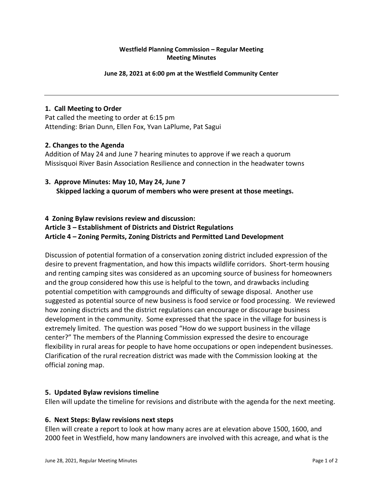# **Westfield Planning Commission – Regular Meeting Meeting Minutes**

#### **June 28, 2021 at 6:00 pm at the Westfield Community Center**

# **1. Call Meeting to Order**

Pat called the meeting to order at 6:15 pm Attending: Brian Dunn, Ellen Fox, Yvan LaPlume, Pat Sagui

# **2. Changes to the Agenda**

Addition of May 24 and June 7 hearing minutes to approve if we reach a quorum Missisquoi River Basin Association Resilience and connection in the headwater towns

# **3. Approve Minutes: May 10, May 24, June 7 Skipped lacking a quorum of members who were present at those meetings.**

# **4 Zoning Bylaw revisions review and discussion: Article 3 – Establishment of Districts and District Regulations Article 4 – Zoning Permits, Zoning Districts and Permitted Land Development**

Discussion of potential formation of a conservation zoning district included expression of the desire to prevent fragmentation, and how this impacts wildlife corridors. Short-term housing and renting camping sites was considered as an upcoming source of business for homeowners and the group considered how this use is helpful to the town, and drawbacks including potential competition with campgrounds and difficulty of sewage disposal. Another use suggested as potential source of new business is food service or food processing. We reviewed how zoning disctricts and the district regulations can encourage or discourage business development in the community. Some expressed that the space in the village for business is extremely limited. The question was posed "How do we support business in the village center?" The members of the Planning Commission expressed the desire to encourage flexibility in rural areas for people to have home occupations or open independent businesses. Clarification of the rural recreation district was made with the Commission looking at the official zoning map.

# **5. Updated Bylaw revisions timeline**

Ellen will update the timeline for revisions and distribute with the agenda for the next meeting.

### **6. Next Steps: Bylaw revisions next steps**

Ellen will create a report to look at how many acres are at elevation above 1500, 1600, and 2000 feet in Westfield, how many landowners are involved with this acreage, and what is the